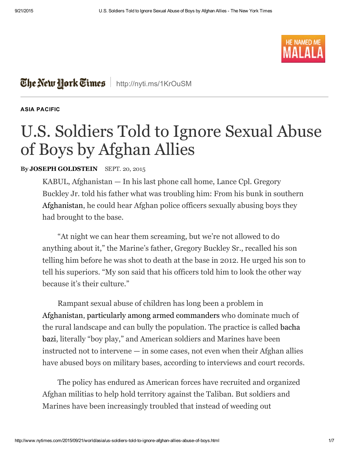

## The New Hork Times | <http://nyti.ms/1KrOuSM>

ASIA [PACIFIC](http://www.nytimes.com/pages/world/asia/index.html)

## U.S. Soldiers Told to Ignore Sexual Abuse of Boys by Afghan Allies

## By JOSEPH [GOLDSTEIN](http://topics.nytimes.com/top/reference/timestopics/people/g/joseph_goldstein/index.html) SEPT. 20, 2015

KABUL, Afghanistan — In his last phone call home, Lance Cpl. Gregory Buckley Jr. told his father what was troubling him: From his bunk in southern [Afghanistan,](http://topics.nytimes.com/top/news/international/countriesandterritories/afghanistan/index.html?inline=nyt-geo) he could hear Afghan police officers sexually abusing boys they had brought to the base.

"At night we can hear them screaming, but we're not allowed to do anything about it," the Marine's father, Gregory Buckley Sr., recalled his son telling him before he was shot to death at the base in 2012. He urged his son to tell his superiors. "My son said that his officers told him to look the other way because it's their culture."

Rampant sexual abuse of children has long been a problem in [Afghanistan,](http://topics.nytimes.com/top/news/international/countriesandterritories/afghanistan/index.html?inline=nyt-geo) particularly among armed [commanders](http://www.nytimes.com/2011/01/30/world/asia/30afghan.html) who dominate much of the rural landscape and can bully the [population.](http://www.pbs.org/wgbh/pages/frontline/dancingboys/) The practice is called bacha bazi, literally "boy play," and American soldiers and Marines have been instructed not to intervene — in some cases, not even when their Afghan allies have abused boys on military bases, according to interviews and court records.

The policy has endured as American forces have recruited and organized Afghan militias to help hold territory against the Taliban. But soldiers and Marines have been increasingly troubled that instead of weeding out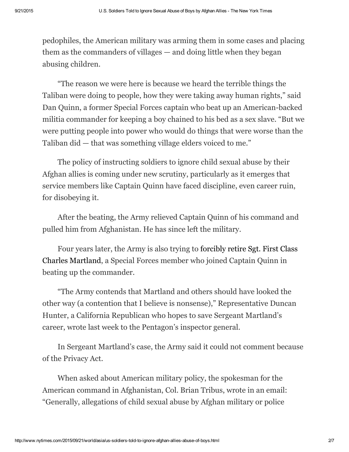pedophiles, the American military was arming them in some cases and placing them as the commanders of villages — and doing little when they began abusing children.

"The reason we were here is because we heard the terrible things the Taliban were doing to people, how they were taking away human rights," said Dan Quinn, a former Special Forces captain who beat up an American-backed militia commander for keeping a boy chained to his bed as a sex slave. "But we were putting people into power who would do things that were worse than the Taliban did — that was something village elders voiced to me."

The policy of instructing soldiers to ignore child sexual abuse by their Afghan allies is coming under new scrutiny, particularly as it emerges that service members like Captain Quinn have faced discipline, even career ruin, for disobeying it.

After the beating, the Army relieved Captain Quinn of his command and pulled him from Afghanistan. He has since left the military.

Four years later, the Army is also trying to forcibly retire Sgt. First Class Charles [Martland,](http://www.foxnews.com/politics/2015/08/21/army-kicking-out-decorated-green-beret-who-stood-up-for-afghan-rape-victim/) a Special Forces member who joined Captain Quinn in beating up the commander.

"The Army contends that Martland and others should have looked the other way (a contention that I believe is nonsense)," Representative Duncan Hunter, a California Republican who hopes to save Sergeant Martland's career, wrote last week to the Pentagon's inspector general.

In Sergeant Martland's case, the Army said it could not comment because of the Privacy Act.

When asked about American military policy, the spokesman for the American command in Afghanistan, Col. Brian Tribus, wrote in an email: "Generally, allegations of child sexual abuse by Afghan military or police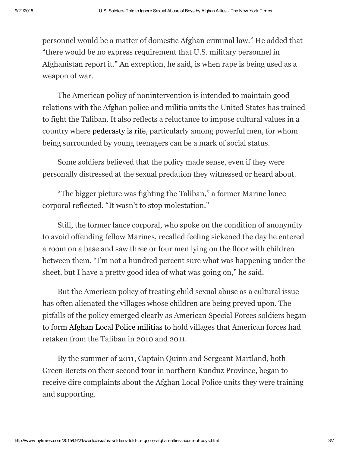personnel would be a matter of domestic Afghan criminal law." He added that "there would be no express requirement that U.S. military personnel in Afghanistan report it." An exception, he said, is when rape is being used as a weapon of war.

The American policy of nonintervention is intended to maintain good relations with the Afghan police and militia units the United States has trained to fight the Taliban. It also reflects a reluctance to impose cultural values in a country where [pederasty](http://www.nytimes.com/2002/02/21/world/kandahar-journal-shh-it-s-an-open-secret-warlords-and-pedophilia.html) is rife, particularly among powerful men, for whom being surrounded by young teenagers can be a mark of social status.

Some soldiers believed that the policy made sense, even if they were personally distressed at the sexual predation they witnessed or heard about.

"The bigger picture was fighting the Taliban," a former Marine lance corporal reflected. "It wasn't to stop molestation."

Still, the former lance corporal, who spoke on the condition of anonymity to avoid offending fellow Marines, recalled feeling sickened the day he entered a room on a base and saw three or four men lying on the floor with children between them. "I'm not a hundred percent sure what was happening under the sheet, but I have a pretty good idea of what was going on," he said.

But the American policy of treating child sexual abuse as a cultural issue has often alienated the villages whose children are being preyed upon. The pitfalls of the policy emerged clearly as American Special Forces soldiers began to form Afghan Local Police [militias](http://www.nytimes.com/2011/09/13/world/asia/13afghanistan.html) to hold villages that American forces had retaken from the Taliban in 2010 and 2011.

By the summer of 2011, Captain Quinn and Sergeant Martland, both Green Berets on their second tour in northern Kunduz Province, began to receive dire complaints about the Afghan Local Police units they were training and supporting.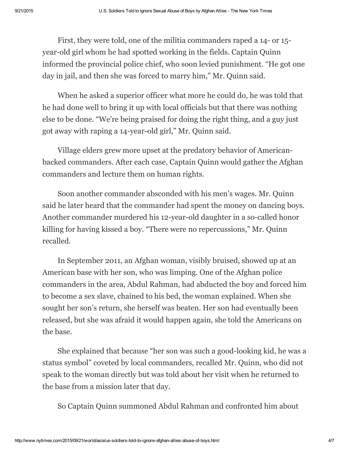First, they were told, one of the militia commanders raped a 14- or 15year-old girl whom he had spotted working in the fields. Captain Quinn informed the provincial police chief, who soon levied punishment. "He got one day in jail, and then she was forced to marry him," Mr. Quinn said.

When he asked a superior officer what more he could do, he was told that he had done well to bring it up with local officials but that there was nothing else to be done. "We're being praised for doing the right thing, and a guy just got away with raping a 14-year-old girl," Mr. Quinn said.

Village elders grew more upset at the predatory behavior of Americanbacked commanders. After each case, Captain Quinn would gather the Afghan commanders and lecture them on human rights.

Soon another commander absconded with his men's wages. Mr. Quinn said he later heard that the commander had spent the money on dancing boys. Another commander murdered his 12-year-old daughter in a so-called honor killing for having kissed a boy. "There were no repercussions," Mr. Quinn recalled.

In September 2011, an Afghan woman, visibly bruised, showed up at an American base with her son, who was limping. One of the Afghan police commanders in the area, Abdul Rahman, had abducted the boy and forced him to become a sex slave, chained to his bed, the woman explained. When she sought her son's return, she herself was beaten. Her son had eventually been released, but she was afraid it would happen again, she told the Americans on the base.

She explained that because "her son was such a good-looking kid, he was a status symbol" coveted by local commanders, recalled Mr. Quinn, who did not speak to the woman directly but was told about her visit when he returned to the base from a mission later that day.

So Captain Quinn summoned Abdul Rahman and confronted him about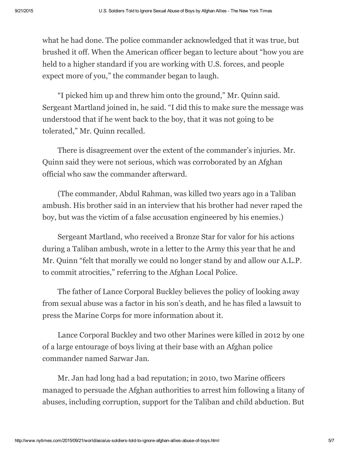what he had done. The police commander acknowledged that it was true, but brushed it off. When the American officer began to lecture about "how you are held to a higher standard if you are working with U.S. forces, and people expect more of you," the commander began to laugh.

"I picked him up and threw him onto the ground," Mr. Quinn said. Sergeant Martland joined in, he said. "I did this to make sure the message was understood that if he went back to the boy, that it was not going to be tolerated," Mr. Quinn recalled.

There is disagreement over the extent of the commander's injuries. Mr. Quinn said they were not serious, which was corroborated by an Afghan official who saw the commander afterward.

(The commander, Abdul Rahman, was killed two years ago in a Taliban ambush. His brother said in an interview that his brother had never raped the boy, but was the victim of a false accusation engineered by his enemies.)

Sergeant Martland, who received a Bronze Star for valor for his actions during a Taliban ambush, wrote in a letter to the Army this year that he and Mr. Quinn "felt that morally we could no longer stand by and allow our A.L.P. to commit atrocities," referring to the Afghan Local Police.

The father of Lance Corporal Buckley believes the policy of looking away from sexual abuse was a factor in his son's death, and he has filed a lawsuit to press the Marine Corps for more information about it.

Lance Corporal Buckley and two other Marines were killed in 2012 by one of a large entourage of boys living at their base with an Afghan police commander named Sarwar Jan.

Mr. Jan had long had a bad reputation; in 2010, two Marine officers managed to persuade the Afghan authorities to arrest him following a litany of abuses, including corruption, support for the Taliban and child abduction. But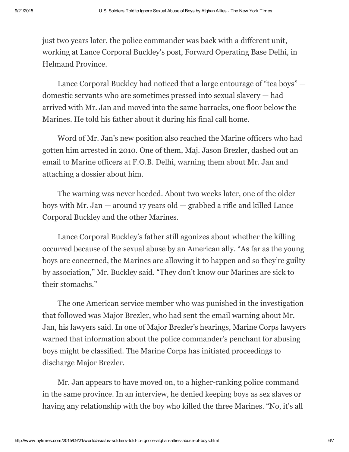just two years later, the police commander was back with a different unit, working at Lance Corporal Buckley's post, Forward Operating Base Delhi, in Helmand Province.

Lance Corporal Buckley had noticed that a large entourage of "tea boys" domestic servants who are sometimes pressed into sexual slavery — had arrived with Mr. Jan and moved into the same barracks, one floor below the Marines. He told his father about it during his final call home.

Word of Mr. Jan's new position also reached the Marine officers who had gotten him arrested in 2010. One of them, Maj. Jason Brezler, dashed out an email to Marine officers at F.O.B. Delhi, warning them about Mr. Jan and attaching a dossier about him.

The warning was never heeded. About two weeks later, one of the older boys with Mr. Jan — around 17 years old — grabbed a rifle and killed Lance Corporal Buckley and the other Marines.

Lance Corporal Buckley's father still agonizes about whether the killing occurred because of the sexual abuse by an American ally. "As far as the young boys are concerned, the Marines are allowing it to happen and so they're guilty by association," Mr. Buckley said. "They don't know our Marines are sick to their stomachs."

The one American service member who was punished in the investigation that followed was Major Brezler, who had sent the email warning about Mr. Jan, his lawyers said. In one of Major Brezler's hearings, Marine Corps lawyers warned that information about the police commander's penchant for abusing boys might be classified. The Marine Corps has initiated proceedings to discharge Major Brezler.

Mr. Jan appears to have moved on, to a higher-ranking police command in the same province. In an interview, he denied keeping boys as sex slaves or having any relationship with the boy who killed the three Marines. "No, it's all